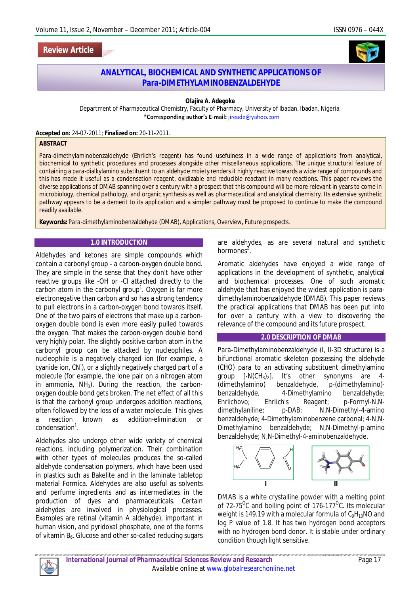# **Review Article**



# **ANALYTICAL, BIOCHEMICAL AND SYNTHETIC APPLICATIONS OF** *Para-***DIMETHYLAMINOBENZALDEHYDE**

#### **Olajire A. Adegoke**

Department of Pharmaceutical Chemistry, Faculty of Pharmacy, University of Ibadan, Ibadan, Nigeria. \*Corresponding author's E-mail: jireade@yahoo.com

**Accepted on:** 24-07-2011; **Finalized on:** 20-11-2011.

#### **ABSTRACT**

*Para*-dimethylaminobenzaldehyde (Ehrlich's reagent) has found usefulness in a wide range of applications from analytical, biochemical to synthetic procedures and processes alongside other miscellaneous applications. The unique structural feature of containing a *para*-dialkylamino substituent to an aldehyde moiety renders it highly reactive towards a wide range of compounds and this has made it useful as a condensation reagent, oxidizable and reducible reactant in many reactions. This paper reviews the diverse applications of DMAB spanning over a century with a prospect that this compound will be more relevant in years to come in microbiology, chemical pathology, and organic synthesis as well as pharmaceutical and analytical chemistry. Its extensive synthetic pathway appears to be a demerit to its application and a simpler pathway must be proposed to continue to make the compound readily available.

**Keywords:** *Para*-dimethylaminobenzaldehyde (DMAB), Applications, Overview, Future prospects.

#### **1.0 INTRODUCTION**

Aldehydes and ketones are simple compounds which contain a carbonyl group - a carbon-oxygen double bond. They are simple in the sense that they don't have other reactive groups like -OH or -Cl attached directly to the carbon atom in the carbonyl group<sup>1</sup>. Oxygen is far more electronegative than carbon and so has a strong tendency to pull electrons in a carbon-oxygen bond towards itself. One of the two pairs of electrons that make up a carbonoxygen double bond is even more easily pulled towards the oxygen. That makes the carbon-oxygen double bond very highly polar. The slightly positive carbon atom in the carbonyl group can be attacked by nucleophiles. A nucleophile is a negatively charged ion (for example, a cyanide ion, CN'), or a slightly negatively charged part of a molecule (for example, the lone pair on a nitrogen atom in ammonia,  $NH<sub>3</sub>$ ). During the reaction, the carbonoxygen double bond gets broken. The net effect of all this is that the carbonyl group undergoes addition reactions, often followed by the loss of a water molecule. This gives a reaction known as addition-elimination or condensation<sup>1</sup>.

Aldehydes also undergo other wide variety of chemical reactions, including polymerization. Their combination with other types of molecules produces the so-called aldehyde condensation polymers, which have been used in plastics such as Bakelite and in the laminate tabletop material Formica. Aldehydes are also useful as solvents and perfume ingredients and as intermediates in the production of dyes and pharmaceuticals. Certain aldehydes are involved in physiological processes. Examples are retinal (vitamin A aldehyde), important in human vision, and pyridoxal phosphate, one of the forms of vitamin B<sub>6</sub>. Glucose and other so-called reducing sugars

are aldehydes, as are several natural and synthetic hormones<sup>2</sup>.

Aromatic aldehydes have enjoyed a wide range of applications in the development of synthetic, analytical and biochemical processes. One of such aromatic aldehyde that has enjoyed the widest application is *para*dimethylaminobenzaldehyde (DMAB). This paper reviews the practical applications that DMAB has been put into for over a century with a view to discovering the relevance of the compound and its future prospect.

#### **2.0 DESCRIPTION OF DMAB**

*Para*-Dimethylaminobenzaldehyde (I, II-3D structure) is a bifunctional aromatic skeleton possessing the aldehyde (CHO) *para* to an activating substituent dimethylamino group  $[-N(CH_3)_2]$ . It's other synonyms are 4-(dimethylamino) benzaldehyde, *p*-(dimethylamino) benzaldehyde, 4-Dimethylamino benzaldehyde; Ehrlichovo; Ehrlich's Reagent; *p*-Formyl-N,Ndimethylaniline; p-DAB; N,N-Dimethyl-4-amino benzaldehyde; 4-Dimethylaminobenzene carbonal; 4-N,N-Dimethylamino benzaldehyde; N,N-Dimethyl-*p*-amino benzaldehyde; N,N-Dimethyl-4-aminobenzaldehyde.



DMAB is a white crystalline powder with a melting point of 72-75<sup>o</sup>C and boiling point of 176-177<sup>o</sup>C. Its molecular weight is 149.19 with a molecular formula of  $C_9H_{10}NO$  and log P value of 1.8. It has two hydrogen bond acceptors with no hydrogen bond donor. It is stable under ordinary condition though light sensitive.

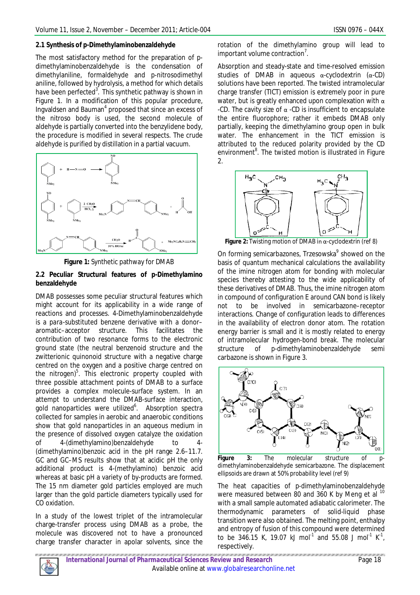### **2.1 Synthesis of** *p***-Dimethylaminobenzaldehyde**

The most satisfactory method for the preparation of *p*dimethylaminobenzaldehyde is the condensation of dimethylaniline, formaldehyde and *p*-nitrosodimethyl aniline, followed by hydrolysis, a method for which details have been perfected<sup>3</sup>. This synthetic pathway is shown in Figure 1. In a modification of this popular procedure, Ingvaldsen and Bauman<sup>4</sup> proposed that since an excess of the nitroso body is used, the second molecule of aldehyde is partially converted into the benzylidene body, the procedure is modified in several respects. The crude aldehyde is purified by distillation in a partial vacuum.





### **2.2 Peculiar Structural features of** *p***-Dimethylamino benzaldehyde**

DMAB possesses some peculiar structural features which might account for its applicability in a wide range of reactions and processes. 4-Dimethylaminobenzaldehyde is a *para*-substituted benzene derivative with a donor– aromatic–acceptor structure. This facilitates the contribution of two resonance forms to the electronic ground state (the neutral benzenoid structure and the zwitterionic quinonoid structure with a negative charge centred on the oxygen and a positive charge centred on the nitrogen)<sup>5</sup>. This electronic property coupled with three possible attachment points of DMAB to a surface provides a complex molecule-surface system. In an attempt to understand the DMAB-surface interaction, gold nanoparticles were utilized<sup>6</sup>. Absorption spectra collected for samples in aerobic and anaerobic conditions show that gold nanoparticles in an aqueous medium in the presence of dissolved oxygen catalyze the oxidation of 4-(dimethylamino)benzaldehyde to 4- (dimethylamino)benzoic acid in the pH range 2.6–11.7. GC and GC–MS results show that at acidic pH the only additional product is 4-(methylamino) benzoic acid whereas at basic pH a variety of by-products are formed. The 15 nm diameter gold particles employed are much larger than the gold particle diameters typically used for CO oxidation.

In a study of the lowest triplet of the intramolecular charge-transfer process using DMAB as a probe, the molecule was discovered not to have a pronounced charge transfer character in apolar solvents, since the

rotation of the dimethylamino group will lead to important volume contraction<sup>7</sup>.

Absorption and steady-state and time-resolved emission studies of DMAB in aqueous α-cyclodextrin (α-CD) solutions have been reported. The twisted intramolecular charge transfer (TICT) emission is extremely poor in pure water, but is greatly enhanced upon complexation with  $\alpha$ -CD. The cavity size of α -CD is insufficient to encapsulate the entire fluorophore; rather it embeds DMAB only partially, keeping the dimethylamino group open in bulk water. The enhancement in the TICT emission is attributed to the reduced polarity provided by the CD environment<sup>8</sup>. The twisted motion is illustrated in Figure 2.



**Figure 2:** Twisting motion of DMAB in α-cyclodextrin (ref 8)

On forming semicarbazones, Trzesowska<sup>9</sup> showed on the basis of quantum mechanical calculations the availability of the imine nitrogen atom for bonding with molecular species thereby attesting to the wide applicability of these derivatives of DMAB. Thus, the imine nitrogen atom in compound of configuration E around CAN bond is likely not to be involved in semicarbazone–receptor interactions. Change of configuration leads to differences in the availability of electron donor atom. The rotation energy barrier is small and it is mostly related to energy of intramolecular hydrogen-bond break. The molecular structure of *p*-dimethylaminobenzaldehyde semi carbazone is shown in Figure 3.



**Figure 3:** The molecular structure of *p*dimethylaminobenzaldehyde semicarbazone. The displacement ellipsoids are drawn at 50% probability level (ref 9)

The heat capacities of p-dimethylaminobenzaldehyde were measured between 80 and 360 K by Meng et al <sup>10</sup> with a small sample automated adiabatic calorimeter. The thermodynamic parameters of solid-liquid phase transition were also obtained. The melting point, enthalpy and entropy of fusion of this compound were determined to be 346.15 K, 19.07 kJ mol<sup>-1</sup> and 55.08 J mol<sup>-1</sup> K<sup>-1</sup>, respectively.

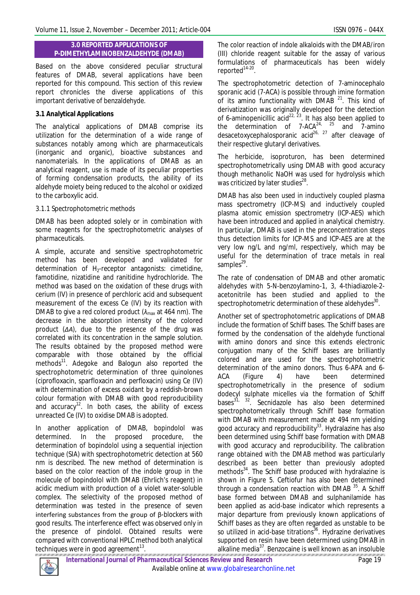### **3.0 REPORTED APPLICATIONS OF P-DIMETHYLAMINOBENZALDEHYDE (DMAB)**

Based on the above considered peculiar structural features of DMAB, several applications have been reported for this compound. This section of this review report chronicles the diverse applications of this important derivative of benzaldehyde.

# **3.1 Analytical Applications**

The analytical applications of DMAB comprise its utilization for the determination of a wide range of substances notably among which are pharmaceuticals (inorganic and organic), bioactive substances and nanomaterials. In the applications of DMAB as an analytical reagent, use is made of its peculiar properties of forming condensation products, the ability of its aldehyde moiety being reduced to the alcohol or oxidized to the carboxylic acid.

# *3.1.1 Spectrophotometric methods*

DMAB has been adopted solely or in combination with some reagents for the spectrophotometric analyses of pharmaceuticals.

A simple, accurate and sensitive spectrophotometric method has been developed and validated for determination of  $H_2$ -receptor antagonists: cimetidine, famotidine, nizatidine and ranitidine hydrochloride. The method was based on the oxidation of these drugs with cerium (IV) in presence of perchloric acid and subsequent measurement of the excess Ce (IV) by its reaction with DMAB to give a red colored product ( $λ<sub>max</sub>$  at 464 nm). The decrease in the absorption intensity of the colored product (*ΔA*), due to the presence of the drug was correlated with its concentration in the sample solution. The results obtained by the proposed method were comparable with those obtained by the official methods<sup>11</sup>. Adegoke and Balogun also reported the spectrophotometric determination of three quinolones (ciprofloxacin, sparfloxacin and perfloxacin) using Ce (IV) with determination of excess oxidant by a reddish-brown colour formation with DMAB with good reproducibility and accuracy<sup>12</sup>. In both cases, the ability of excess unreacted Ce (IV) to oxidise DMAB is adopted.

In another application of DMAB, bopindolol was determined. In the proposed procedure, the determination of bopindolol using a sequential injection technique (SIA) with spectrophotometric detection at 560 nm is described. The new method of determination is based on the color reaction of the indole group in the molecule of bopindolol with DMAB (Ehrlich's reagent) in acidic medium with production of a violet water-soluble complex. The selectivity of the proposed method of determination was tested in the presence of seven interfering substances from the group of β-blockers with good results. The interference effect was observed only in the presence of pindolol. Obtained results were compared with conventional HPLC method both analytical techniques were in good agreement $^{13}$ .

The color reaction of indole alkaloids with the DMAB/iron (III) chloride reagent suitable for the assay of various formulations of pharmaceuticals has been widely reported<sup>14-20</sup>.

The spectrophotometric detection of 7-aminocephalo sporanic acid (7-ACA) is possible through imine formation of its amino functionality with DMAB  $21$ . This kind of derivatization was originally developed for the detection of 6-aminopenicillic acid<sup>22, 23</sup>. It has also been applied to the determination of 7-ACA<sup>24, 25</sup> and 7-amino desacetoxycephalosporanic acid<sup>26, 27</sup> after cleavage of their respective glutaryl derivatives.

The herbicide, isoproturon, has been determined spectrophotometrically using DMAB with good accuracy though methanolic NaOH was used for hydrolysis which was criticized by later studies<sup>28</sup>.

DMAB has also been used in inductively coupled plasma mass spectrometry (ICP-MS) and inductively coupled plasma atomic emission spectrometry (ICP-AES) which have been introduced and applied in analytical chemistry. In particular, DMAB is used in the preconcentration steps thus detection limits for ICP-MS and ICP-AES are at the very low ng/L and ng/ml, respectively, which may be useful for the determination of trace metals in real samples<sup>29</sup>.

The rate of condensation of DMAB and other aromatic aldehydes with 5-*N-*benzoylamino-1, 3, 4-thiadiazole-2 acetonitrile has been studied and applied to the spectrophotometric determination of these aldehydes $^{\rm 30}.$ 

Another set of spectrophotometric applications of DMAB include the formation of Schiff bases. The Schiff bases are formed by the condensation of the aldehyde functional with amino donors and since this extends electronic conjugation many of the Schiff bases are brilliantly colored and are used for the spectrophotometric determination of the amino donors. Thus 6-APA and 6- ACA (Figure 4) have been determined spectrophotometrically in the presence of sodium dodecyl sulphate micelles *via* the formation of Schiff bases $^{31}$ ,  $^{32}$ . Secnidazole has also been determined spectrophotometrically through Schiff base formation with DMAB with measurement made at 494 nm yielding good accuracy and reproducibility<sup>33</sup>. Hydralazine has also been determined using Schiff base formation with DMAB with good accuracy and reproducibility. The calibration range obtained with the DMAB method was particularly described as been better than previously adopted methods<sup>34</sup>. The Schiff base produced with hydralazine is shown in Figure 5. Ceftiofur has also been determined through a condensation reaction with DMAB  $35$ . A Schiff base formed between DMAB and sulphanilamide has been applied as acid-base indicator which represents a major departure from previously known applications of Schiff bases as they are often regarded as unstable to be so utilized in acid-base titrations<sup>36</sup>. Hydrazine derivatives supported on resin have been determined using DMAB in alkaline media<sup>37</sup>. Benzocaine is well known as an insoluble

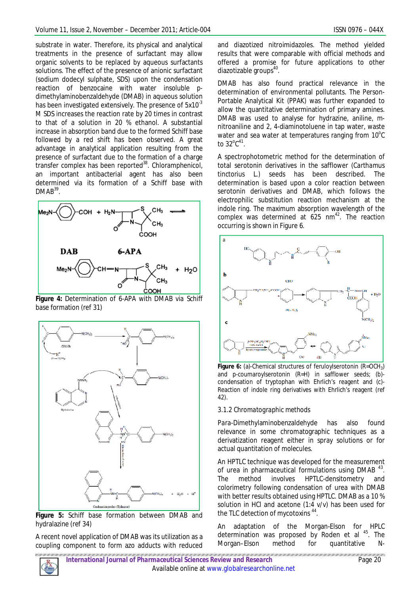substrate in water. Therefore, its physical and analytical treatments in the presence of surfactant may allow organic solvents to be replaced by aqueous surfactants solutions. The effect of the presence of anionic surfactant (sodium dodecyl sulphate, SDS) upon the condensation reaction of benzocaine with water insoluble *p*dimethylaminobenzaldehyde (DMAB) in aqueous solution has been investigated extensively. The presence of  $5x10^{-3}$ M SDS increases the reaction rate by 20 times in contrast to that of a solution in 20 % ethanol. A substantial increase in absorption band due to the formed Schiff base followed by a red shift has been observed. A great advantage in analytical application resulting from the presence of surfactant due to the formation of a charge transfer complex has been reported $38$ . Chloramphenicol, an important antibacterial agent has also been determined *via* its formation of a Schiff base with  $DMAB^{39}$ .



**Figure 4:** Determination of 6-APA with DMAB *via* Schiff base formation (ref 31)



**Figure 5:** Schiff base formation between DMAB and hydralazine (ref 34)

A recent novel application of DMAB was its utilization as a coupling component to form azo adducts with reduced

and diazotized nitroimidazoles. The method yielded results that were comparable with official methods and offered a promise for future applications to other diazotizable groups<sup>40</sup>.

DMAB has also found practical relevance in the determination of environmental pollutants. The Person-Portable Analytical Kit (PPAK) was further expanded to allow the quantitative determination of primary amines. DMAB was used to analyse for hydrazine, aniline, *m*nitroaniline and 2, 4-diaminotoluene in tap water, waste water and sea water at temperatures ranging from  $10^{\circ}$ C to 32 $^{\circ}$ C $^{\circ}$ 1.

A spectrophotometric method for the determination of total serotonin derivatives in the safflower (*Carthamus tinctorius* L.) seeds has been described. The determination is based upon a color reaction between serotonin derivatives and DMAB, which follows the electrophilic substitution reaction mechanism at the indole ring. The maximum absorption wavelength of the complex was determined at  $625 \text{ nm}^{42}$ . The reaction occurring is shown in Figure 6.



**Figure 6:** (a)-Chemical structures of feruloylserotonin (R=OCH<sub>3</sub>) and *p*-coumaroylserotonin (R=H) in safflower seeds; (b) condensation of tryptophan with Ehrlich's reagent and (c)- Reaction of indole ring derivatives with Ehrlich's reagent (ref 42).

# *3.1.2 Chromatographic methods*

*Para*-Dimethylaminobenzaldehyde has also found relevance in some chromatographic techniques as a derivatization reagent either in spray solutions or for actual quantitation of molecules.

An HPTLC technique was developed for the measurement of urea in pharmaceutical formulations using DMAB<sup>43</sup>. The method involves HPTLC-densitometry and colorimetry following condensation of urea with DMAB with better results obtained using HPTLC. DMAB as a 10 % solution in HCl and acetone (1:4 v/v) has been used for the TLC detection of mycotoxins <sup>44</sup>.

An adaptation of the Morgan-Elson for HPLC determination was proposed by Roden et al <sup>45</sup>. The Morgan–Elson method for quantitative *N*-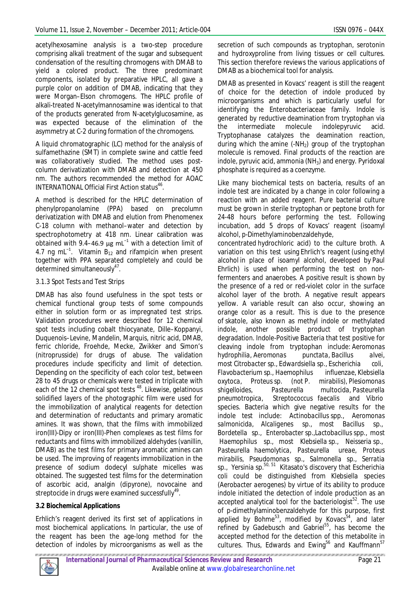acetylhexosamine analysis is a two-step procedure comprising alkali treatment of the sugar and subsequent condensation of the resulting chromogens with DMAB to yield a colored product. The three predominant components, isolated by preparative HPLC, all gave a purple color on addition of DMAB, indicating that they were Morgan–Elson chromogens. The HPLC profile of alkali-treated *N*-acetylmannosamine was identical to that of the products generated from *N*-acetylglucosamine, as was expected because of the elimination of the asymmetry at C-2 during formation of the chromogens.

A liquid chromatographic (LC) method for the analysis of sulfamethazine (SMT) in complete swine and cattle feed was collaboratively studied. The method uses postcolumn derivatization with DMAB and detection at 450 nm. The authors recommended the method for AOAC INTERNATIONAL Official First Action status<sup>46</sup>.

A method is described for the HPLC determination of phenylpropanolamine (PPA) based on precolumn derivatization with DMAB and elution from Phenomenex C-18 column with methanol–water and detection by spectrophotometry at 418 nm. Linear calibration was obtained with 9.4–46.9 µg mL<sup>-1</sup> with a detection limit of 4.7 ng mL<sup>-1</sup>. Vitamin B<sub>12</sub> and rifampicin when present together with PPA separated completely and could be determined simultaneously<sup>47</sup>.

### *3.1.3 Spot Tests and Test Strips*

DMAB has also found usefulness in the spot tests or chemical functional group tests of some compounds either in solution form or as impregnated test strips. Validation procedures were described for 12 chemical spot tests including cobalt thiocyanate, Dille–Koppanyi, Duquenois–Levine, Mandelin, Marquis, nitric acid, DMAB, ferric chloride, Froehde, Mecke, Zwikker and Simon's (nitroprusside) for drugs of abuse. The validation procedures include specificity and limit of detection. Depending on the specificity of each color test, between 28 to 45 drugs or chemicals were tested in triplicate with each of the 12 chemical spot tests<sup>48</sup>. Likewise, gelatinous solidified layers of the photographic film were used for the immobilization of analytical reagents for detection and determination of reductants and primary aromatic amines. It was shown, that the films with immobilized iron(III)-Dipy or iron(III)-Phen complexes as test films for reductants and films with immobilized aldehydes (vanillin, DMAB) as the test films for primary aromatic amines can be used. The improving of reagents immobilization in the presence of sodium dodecyl sulphate micelles was obtained. The suggested test films for the determination of ascorbic acid, analgin (dipyrone), novocaine and streptocide in drugs were examined successfully $^{49}$ .

# **3.2 Biochemical Applications**

Erhlich's reagent derived its first set of applications in most biochemical applications. In particular, the use of the reagent has been the age-long method for the detection of indoles by microorganisms as well as the

secretion of such compounds as tryptophan, serotonin and hydroxyproline from living tissues or cell cultures. This section therefore reviews the various applications of DMAB as a biochemical tool for analysis.

DMAB as presented in Kovacs' reagent is still the reagent of choice for the detection of indole produced by microorganisms and which is particularly useful for identifying the Enterobacteriaceae family. Indole is generated by reductive deamination from tryptophan *via* the intermediate molecule indolepyruvic acid. Tryptophanase catalyzes the deamination reaction, during which the amine  $(-NH<sub>2</sub>)$  group of the tryptophan molecule is removed. Final products of the reaction are indole, pyruvic acid, ammonia  $(NH_3)$  and energy. Pyridoxal phosphate is required as a coenzyme.

Like many biochemical tests on bacteria, results of an indole test are indicated by a change in color following a reaction with an added reagent. Pure bacterial culture must be grown in sterile tryptophan or peptone broth for 24-48 hours before performing the test. Following incubation, add 5 drops of Kovacs' reagent (isoamyl alcohol, *p*-Dimethylaminobenzaldehyde,

concentrated hydrochloric acid) to the culture broth. A variation on this test using Ehrlich's reagent (using ethyl alcohol in place of isoamyl alcohol, developed by Paul Ehrlich) is used when performing the test on nonfermenters and anaerobes. A positive result is shown by the presence of a red or red-violet color in the surface alcohol layer of the broth. A negative result appears yellow. A variable result can also occur, showing an orange color as a result. This is due to the presence of skatole, also known as methyl indole or methylated indole, another possible product of tryptophan degradation. Indole-Positive Bacteria that test positive for cleaving indole from tryptophan include: *Aeromonas hydrophilia*, *Aeromonas punctata*, *Bacillus alvei*, most *Citrobacter* sp., *Edwardsiella* sp., *Escherichia coli*, *Flavobacterium* sp., *Haemophilus influenzae*, *Klebsiella oxytoca*, *Proteus* sp. (not *P. mirabilis*), *Plesiomonas shigelloides*, *Pasteurella multocida*, *Pasteurella pneumotropica*, *Streptococcus faecalis* and *Vibrio* species. Bacteria which give negative results for the indole test include: *Actinobacillus* spp., *Aeromonas salmonicida*, *Alcaligenes* sp., most *Bacillus* sp., *Bordetella* sp., *Enterobacter* sp.,*Lactobacillus* spp., most *Haemophilus* sp., most *Klebsiella* sp., *Neisseria* sp., *Pasteurella haemolytica*, *Pasteurella ureae*, *Proteus mirabilis*, *Pseudomonas* sp., *Salmonella* sp., *Serratia*  sp., *Yersinia* sp.50, 51 Kitasato's discovery that *Escherichia coli* could be distinguished from *Klebsiella* species (*Aerobacter aerogenes*) by virtue of its ability to produce indole initiated the detection of indole production as an accepted analytical tool for the bacteriologist<sup>52</sup>. The use of *p*-dimethylaminobenzaldehyde for this purpose, first applied by Bohme $53$ , modified by Kovacs $54$ , and later refined by Gadebusch and Gabriel<sup>55</sup>, has become the accepted method for the detection of this metabolite in cultures. Thus, Edwards and Ewing<sup>56</sup> and Kauffmann<sup>57</sup>

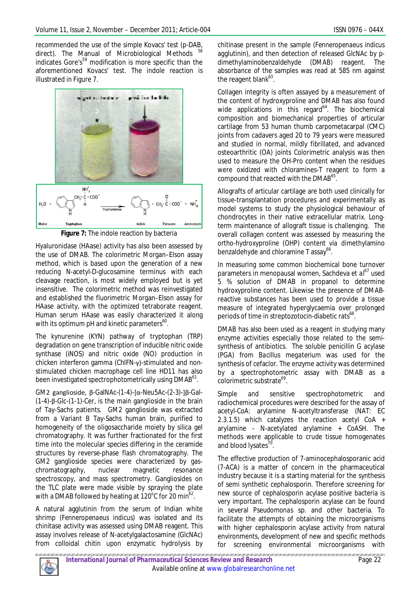recommended the use of the simple Kovacs' test (p-DAB, direct). The Manual of Microbiological Methods <sup>58</sup> indicates Gore's<sup>59</sup> modification is more specific than the aforementioned Kovacs' test. The indole reaction is illustrated in Figure 7.



**Figure 7:** The indole reaction by bacteria

Hyaluronidase (HAase) activity has also been assessed by the use of DMAB. The colorimetric Morgan–Elson assay method, which is based upon the generation of a new reducing N-acetyl-D-glucosamine terminus with each cleavage reaction, is most widely employed but is yet insensitive. The colorimetric method was reinvestigated and established the fluorimetric Morgan–Elson assay for HAase activity, with the optimized tetraborate reagent. Human serum HAase was easily characterized it along with its optimum pH and kinetic parameters $^{60}$ .

The kynurenine (KYN) pathway of tryptophan (TRP) degradation on gene transcription of inducible nitric oxide synthase (iNOS) and nitric oxide (NO) production in chicken interferon gamma (ChIFN-γ)-stimulated and nonstimulated chicken macrophage cell line HD11 has also been investigated spectrophotometrically using DMAB<sup>61</sup>.

GM2 ganglioside, β-GalNAc-(1-4)-[α-Neu5Ac-(2-3)-]β-Gal- (1-4)-β-Glc-(1-1)-Cer, is the main ganglioside in the brain of Tay-Sachs patients. GM2 ganglioside was extracted from a Variant B Tay-Sachs human brain, purified to homogeneity of the oligosaccharide moiety by silica gel chromatography. It was further fractionated for the first time into the molecular species differing in the ceramide structures by reverse-phase flash chromatography. The GM2 ganglioside species were characterized by gaschromatography, nuclear magnetic resonance spectroscopy, and mass spectrometry. Gangliosides on the TLC plate were made visible by spraying the plate with a DMAB followed by heating at 120 $^{\rm o}$ C for 20 min $^{\rm 62}$ .

A natural agglutinin from the serum of Indian white shrimp (*Fenneropenaeus indicus*) was isolated and its chinitase activity was assessed using DMAB reagent. This assay involves release of N-acetylgalactosamine (GlcNAc) from colloidal chitin upon enzymatic hydrolysis by

chitinase present in the sample (*Fenneropenaeus indicus* agglutinin), and then detection of released GlcNAc by *p*dimethylaminobenzaldehyde (DMAB) reagent. The absorbance of the samples was read at 585 nm against the reagent blank<sup>63</sup>.

Collagen integrity is often assayed by a measurement of the content of hydroxyproline and DMAB has also found wide applications in this regard<sup>64</sup>. The biochemical composition and biomechanical properties of articular cartilage from 53 human thumb carpometacarpal (CMC) joints from cadavers aged 20 to 79 years were measured and studied in normal, mildly fibrillated, and advanced osteoarthritic (OA) joints Colorimetric analysis was then used to measure the OH-Pro content when the residues were oxidized with chloramines-T reagent to form a compound that reacted with the  $\mathsf{DMAB}^{65}.$ 

Allografts of articular cartilage are both used clinically for tissue-transplantation procedures and experimentally as model systems to study the physiological behaviour of chondrocytes in their native extracellular matrix. Longterm maintenance of allograft tissue is challenging. The overall collagen content was assessed by measuring the *ortho*-hydroxyproline (OHP) content *via* dimethylamino benzaldehyde and chloramine T assay<sup>66</sup>.

In measuring some common biochemical bone turnover parameters in menopausal women, Sachdeva *et al*<sup>67</sup> used 5 % solution of DMAB in propanol to determine hydroxyproline content. Likewise the presence of DMABreactive substances has been used to provide a tissue measure of integrated hyperglycaemia over prolonged periods of time in streptozotocin-diabetic rats<sup>68</sup> .

DMAB has also been used as a reagent in studying many enzyme activities especially those related to the semisynthesis of antibiotics. The soluble penicillin G acylase (PGA) from *Bacillus megaterium* was used for the synthesis of cefaclor. The enzyme activity was determined by a spectrophotometric assay with DMAB as a colorimetric substrate<sup>69</sup>.

Simple and sensitive spectrophotometric and radiochemical procedures were described for the assay of acetyl-CoA: arylamine N-acetyltransferase (NAT: EC 2.3.1.5) which catalyzes the reaction acetyl CoA + arylamine - N-acetylated arylamine + CoASH. The methods were applicable to crude tissue homogenates and blood lysates<sup>70</sup>.

The effective production of 7-aminocephalosporanic acid (7-ACA) is a matter of concern in the pharmaceutical industry because it is a starting material for the synthesis of semi synthetic cephalosporin. Therefore screening for new source of cephalosporin acylase positive bacteria is very important. The cephalosporin acylase can be found in several *Pseudomonas* sp. and other bacteria. To facilitate the attempts of obtaining the microorganisms with higher cephalosporin acylase activity from natural environments, development of new and specific methods for screening environmental microorganisms with

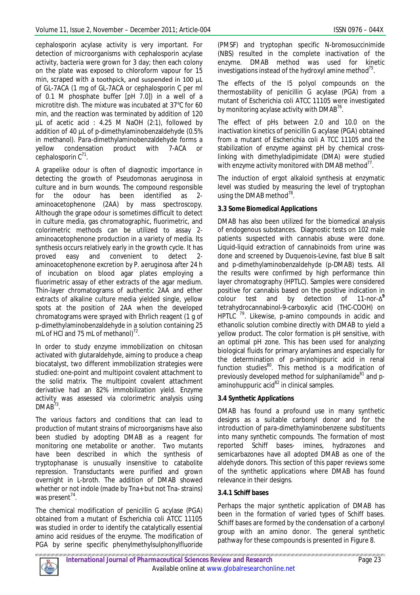cephalosporin acylase activity is very important. For detection of microorganisms with cephalosporin acylase activity, bacteria were grown for 3 day; then each colony on the plate was exposed to chloroform vapour for 15 min, scraped with a toothpick, and suspended in 100 µL of GL-7ACA (1 mg of GL-7ACA or cephalosporin C per ml of 0.1 M phosphate buffer [pH 7.0]) in a well of a microtitre dish. The mixture was incubated at 37°C for 60 min, and the reaction was terminated by addition of 120 µL of acetic acid : 4.25 M NaOH (2:1), followed by addition of 40 uL of *p*-dimethylaminobenzaldehyde (0.5% in methanol). *Para*-dimethylaminobenzaldehyde forms a yellow condensation product with 7-ACA or cephalosporin  $C^{71}$ .

A grapelike odour is often of diagnostic importance in detecting the growth of *Pseudomonas aeruginosa* in culture and in burn wounds. The compound responsible for the odour has been identified as 2 aminoacetophenone (2AA) by mass spectroscopy. Although the grape odour is sometimes difficult to detect in culture media, gas chromatographic, fluorimetric, and colorimetric methods can be utilized to assay 2 aminoacetophenone production in a variety of media. Its synthesis occurs relatively early in the growth cycle. It has proved easy and convenient to detect 2 aminoacetophenone excretion by *P. aeruginosa* after 24 h of incubation on blood agar plates employing a fluorimetric assay of ether extracts of the agar medium. Thin-layer chromatograms of authentic 2AA and ether extracts of alkaline culture media yielded single, yellow spots at the position of 2AA when the developed chromatograms were sprayed with Ehrlich reagent (1 g of *p*-dimethylaminobenzaldehyde in a solution containing 25 mL of HCl and 75 mL of methanol) $^{72}$ .

In order to study enzyme immobilization on chitosan activated with glutaraldehyde, aiming to produce a cheap biocatalyst, two different immobilization strategies were studied: one-point and multipoint covalent attachment to the solid matrix. The multipoint covalent attachment derivative had an 82% immobilization yield. Enzyme activity was assessed *via* colorimetric analysis using  $DMAB^{73}$ .

The various factors and conditions that can lead to production of mutant strains of microorganisms have also been studied by adopting DMAB as a reagent for monitoring one metabolite or another. Two mutants have been described in which the synthesis of tryptophanase is unusually insensitive to catabolite repression. Transductants were purified and grown overnight in L-broth. The addition of DMAB showed whether or not indole (made by Tna+ but not Tna- strains) was present<sup>74</sup>.

The chemical modification of penicillin G acylase (PGA) obtained from a mutant of *Escherichia coli* ATCC 11105 was studied in order to identify the catalytically essential amino acid residues of the enzyme. The modification of PGA by serine specific phenylmethylsulphonylfluoride

(PMSF) and tryptophan specific *N*-bromosuccinimide (NBS) resulted in the complete inactivation of the enzyme. DMAB method was used for kinetic enzyme. DMAB method was used for investigations instead of the hydroxyl amine method $^{75}$ .

The effects of the I5 polyol compounds on the thermostability of penicillin G acylase (PGA) from a mutant of *Escherichia coli* ATCC 11105 were investigated by monitoring acylase activity with DMAB $^{76}$ .

The effect of pHs between 2.0 and 10.0 on the inactivation kinetics of penicillin G acylase (PGA) obtained from a mutant of *Escherichia coli* A TCC 11105 and the stabilization of enzyme against pH by chemical crosslinking with dimethyladipimidate (DMA) were studied with enzyme activity monitored with DMAB method $^{77}$ .

The induction of ergot alkaloid synthesis at enzymatic level was studied by measuring the level of tryptophan using the DMAB method<sup>78</sup>.

# **3.3 Some Biomedical Applications**

DMAB has also been utilized for the biomedical analysis of endogenous substances. Diagnostic tests on 102 male patients suspected with cannabis abuse were done. Liquid-liquid extraction of cannabinoids from urine was done and screened by Duquenois-Levine, fast blue B salt and p-dimethylaminobenzaldehyde (p-DMAB) tests. All the results were confirmed by high performance thin layer chromatography (HPTLC). Samples were considered positive for cannabis based on the positive indication in colour test and by detection of 11-nor- $\Delta^9$ tetrahydrocannabinol-9-carboxylic acid (THC-COOH) on HPTLC <sup>79</sup> . Likewise, *p*-amino compounds in acidic and ethanolic solution combine directly with DMAB to yield a yellow product. The color formation is pH sensitive, with an optimal pH zone. This has been used for analyzing biological fluids for primary arylamines and especially for the determination of *p*-aminohippuric acid in renal function studies $^{80}$ . This method is a modification of previously developed method for sulphanilamide<sup>81</sup> and *p*aminohuppuric acid $^{82}$  in clinical samples.

# **3.4 Synthetic Applications**

DMAB has found a profound use in many synthetic designs as a suitable carbonyl donor and for the introduction of *para*-dimethylaminobenzene substituents into many synthetic compounds. The formation of most reported Schiff bases- imines, hydrazones and semicarbazones have all adopted DMAB as one of the aldehyde donors. This section of this paper reviews some of the synthetic applications where DMAB has found relevance in their designs.

# **3.4.1 Schiff bases**

Perhaps the major synthetic application of DMAB has been in the formation of varied types of Schiff bases. Schiff bases are formed by the condensation of a carbonyl group with an amino donor. The general synthetic pathway for these compounds is presented in Figure 8.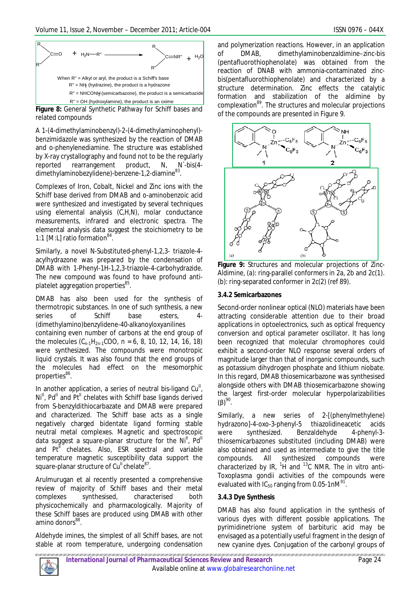

**Figure 8:** General Synthetic Pathway for Schiff bases and related compounds

A 1-(4-dimethylaminobenzyl)-2-(4-dimethylaminophenyl) benzimidazole was synthesized by the reaction of DMAB and *o*-phenylenediamine. The structure was established by X-ray crystallography and found not to be the regularly reported rearrangement product, N, N`-bis(4 dimethylaminobezylidene)-benzene-1,2-diamine $^{83}$ .

Complexes of Iron, Cobalt, Nickel and Zinc ions with the Schiff base derived from DMAB and *o*-aminobenzoic acid were synthesized and investigated by several techniques using elemental analysis (C,H,N), molar conductance measurements, infrared and electronic spectra. The elemental analysis data suggest the stoichiometry to be 1:1 [M:L] ratio formation<sup>84</sup>.

Similarly, a novel N-Substituted-phenyl-1,2,3- triazole-4 acylhydrazone was prepared by the condensation of DMAB with 1-Phenyl-1H-1,2,3-triazole-4-carbohydrazide. The new compound was found to have profound antiplatelet aggregation properties<sup>85</sup>.

DMAB has also been used for the synthesis of thermotropic substances. In one of such synthesis, a new series of Schiff base esters, (dimethylamino)benzylidene-40-alkanoyloxyanilines containing even number of carbons at the end group of the molecules  $(C_{n-1}H_{2n-1}COO, n = 6, 8, 10, 12, 14, 16, 18)$ were synthesized. The compounds were monotropic liquid crystals. It was also found that the end groups of the molecules had effect on the mesomorphic properties<sup>86</sup>.

In another application, a series of neutral bis-ligand  $Cu<sup>II</sup>$ ,  $Ni<sup>II</sup>$ , Pd<sup>II</sup> and Pt<sup>II</sup> chelates with Schiff base ligands derived from S-benzyldithiocarbazate and DMAB were prepared and characterized. The Schiff base acts as a single negatively charged bidentate ligand forming stable neutral metal complexes. Magnetic and spectroscopic data suggest a square-planar structure for the Ni<sup>II</sup>,  $Pd<sup>II</sup>$ and  $Pt<sup>II</sup>$  chelates. Also, ESR spectral and variable temperature magnetic susceptibility data support the square-planar structure of Cu<sup>ll</sup> chelate<sup>87</sup>.

Arulmurugan et al recently presented a comprehensive review of majority of Schiff bases and their metal<br>complexes synthesised, characterised both complexes synthesised, characterised both physicochemically and pharmacologically. Majority of these Schiff bases are produced using DMAB with other amino donors<sup>88</sup>.

Aldehyde imines, the simplest of all Schiff bases, are not stable at room temperature, undergoing condensation and polymerization reactions. However, in an application of DMAB, dimethylaminobenzaldimine–zinc-bis (pentafluorothiophenolate) was obtained from the reaction of DNAB with ammonia-contaminated zincbis(pentafluorothiophenolate) and characterized by a structure determination. Zinc effects the catalytic formation and stabilization of the aldimine by complexation<sup>89</sup>. The structures and molecular projections of the compounds are presented in Figure 9.



**Figure 9:** Structures and molecular projections of Zinc-Aldimine, (a): ring-parallel conformers in 2a, 2b and 2c(1). (b): ring-separated conformer in 2c(2) (ref 89).

### **3.4.2 Semicarbazones**

Second-order nonlinear optical (NLO) materials have been attracting considerable attention due to their broad applications in optoelectronics, such as optical frequency conversion and optical parameter oscillator. It has long been recognized that molecular chromophores could exhibit a second-order NLO response several orders of magnitude larger than that of inorganic compounds, such as potassium dihydrogen phosphate and lithium niobate. In this regard, DMAB thiosemicarbazone was synthesised alongside others with DMAB thiosemicarbazone showing the largest first-order molecular hyperpolarizabilities (β) $^{90}$ .

Similarly, a new series of 2-[(phenylmethylene) hydrazono]-4-oxo-3-phenyl-5 thiazolidineacetic acids were synthesized. Benzaldehyde 4-phenyl-3 thiosemicarbazones substituted (including DMAB) were also obtained and used as intermediate to give the title compounds. All synthesized compounds were characterized by IR, <sup>1</sup> H and <sup>13</sup>C NMR. The *in vitro* anti-*Toxoplasma gondii* activities of the compounds were evaluated with IC<sub>50</sub> ranging from 0.05-1nM $^{91}$ .

# **3.4.3 Dye Synthesis**

DMAB has also found application in the synthesis of various dyes with different possible applications. The pyrimidinetrione system of barbituric acid may be envisaged as a potentially useful fragment in the design of new cyanine dyes. Conjugation of the carbonyl groups of

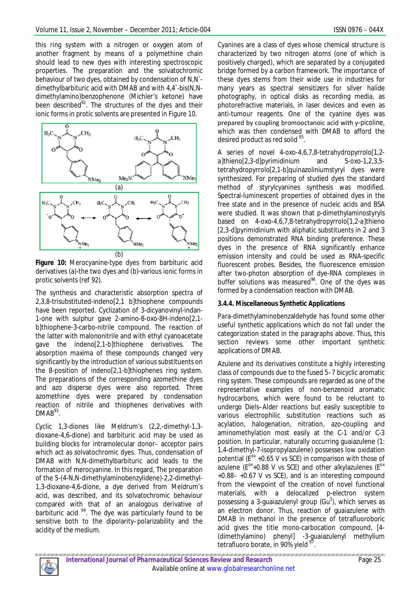this ring system with a nitrogen or oxygen atom of another fragment by means of a polymethine chain should lead to new dyes with interesting spectroscopic properties. The preparation and the solvatochromic behaviour of two dyes, obtained by condensation of N,N` dimethylbarbituric acid with DMAB and with 4,4`-bis(*N*,*N*dimethylamino)benzophenone (Michler's ketone) have been described $^{92}$ . The structures of the dyes and their ionic forms in protic solvents are presented in Figure 10.



**Figure 10:** Merocyanine-type dyes from barbituric acid derivatives (a)-the two dyes and (b)-various ionic forms in protic solvents (ref 92).

The synthesis and characteristic absorption spectra of 2,3,8-trisubstituted-indeno[2,1 b]thiophene compounds have been reported. Cyclization of 3-dicyanovinyl-indan-1-one with sulphur gave 2-amino-8-oxo-8H-indeno[2,1 b]thiophene-3-carbo-nitrile compound. The reaction of the latter with malononitrile and with ethyl cyanoacetate gave the indeno[2,1-b]thiophene derivatives. The absorption maxima of these compounds changed very significantly by the introduction of various substituents on the 8-position of indeno[2,1-*b*]thiophenes ring system. The preparations of the corresponding azomethine dyes and azo disperse dyes were also reported. Three azomethine dyes were prepared by condensation reaction of nitrile and thiophenes derivatives with  $DMAB^{93}$ .

Cyclic 1,3-diones like Meldrum's (2,2,-dimethyl-1,3 dioxane-4,6-dione) and barbituric acid may be used as building blocks for intramolecular donor– acceptor pairs which act as solvatochromic dyes. Thus, condensation of DMAB with N,N-dimethylbarbituric acid leads to the formation of merocyanine. In this regard, The preparation of the 5-(4-N,N-dimethylaminobenzylidene)-2,2-dimethyl-1,3-dioxane-4,6-dione, a dye derived from Meldrum's acid, was described, and its solvatochromic behaviour compared with that of an analogous derivative of barbituric acid  $94$ . The dye was particularly found to be sensitive both to the dipolarity–polarizability and the acidity of the medium.

Cyanines are a class of dyes whose chemical structure is characterized by two nitrogen atoms (one of which is positively charged), which are separated by a conjugated bridge formed by a carbon framework. The importance of these dyes stems from their wide use in industries for many years as spectral sensitizers for silver halide photography, in optical disks as recording media, as photorefractive materials, in laser devices and even as anti-tumour reagents. One of the cyanine dyes was prepared by coupling bromooctanoic acid with γ-picoline, which was then condensed with DMAB to afford the desired product as red solid <sup>95</sup>.

A series of novel 4-oxo-4,6,7,8-tetrahydropyrrolo[1,2 *a*]thieno[2,3-d]pyrimidinium and 5-oxo-1,2,3,5 tetrahydropyrrolo[2,1-b]quinazoliniumstyryl dyes were synthesized. For preparing of studied dyes the standard method of styrylcyanines synthesis was modified. Spectral-luminescent properties of obtained dyes in the free state and in the presence of nucleic acids and BSA were studied. It was shown that *p*-dimethylaminostyryls based on 4-oxo-4,6,7,8-tetrahydropyrrolo[1,2-*a*]thieno [2,3-*d*]pyrimidinium with aliphatic substituents in 2 and 3 positions demonstrated RNA binding preference. These dyes in the presence of RNA significantly enhance emission intensity and could be used as RNA-specific fluorescent probes. Besides, the fluorescence emission after two-photon absorption of dye-RNA complexes in buffer solutions was measured<sup>%</sup>. One of the dyes was formed by a condensation reaction with DMAB.

# **3.4.4. Miscellaneous Synthetic Applications**

*Para*-dimethylaminobenzaldehyde has found some other useful synthetic applications which do not fall under the categorization stated in the paragraphs above. Thus, this section reviews some other important synthetic applications of DMAB.

Azulene and its derivatives constitute a highly interesting class of compounds due to the fused 5–7 bicyclic aromatic ring system. These compounds are regarded as one of the representative examples of non-benzenoid aromatic hydrocarbons, which were found to be reluctant to undergo Diels–Alder reactions but easily susceptible to various electrophilic substitution reactions such as acylation, halogenation, nitration, azo-coupling and aminomethylation most easily at the C-1 and/or C-3 position. In particular, naturally occurring guaiazulene (1: 1,4-dimethyl-7-isopropylazulene) possesses low oxidation potential ( $E^{ox}$  +0.65 V vs SCE) in comparison with those of azulene ( $E^{0x}$ +0.88 V vs SCE) and other alkylazulenes ( $E^{0x}$ +0.88– +0.67 V vs SCE), and is an interesting compound from the viewpoint of the creation of novel functional materials, with a delocalized p-electron system possessing a 3-guaiazulenyl group (Gu<sup>3</sup>), which serves as an electron donor. Thus, reaction of guaiazulene with DMAB in methanol in the presence of tetrafluoroboric acid gives the title mono-carbocation compound, [4- (dimethylamino) phenyl] -3-guaiazulenyl methylium tetrafluoro borate, in 90% yield .

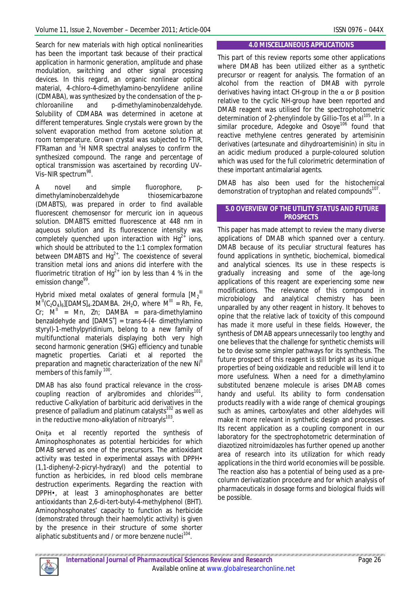Search for new materials with high optical nonlinearities has been the important task because of their practical application in harmonic generation, amplitude and phase modulation, switching and other signal processing devices. In this regard, an organic nonlinear optical material, 4-chloro-4-dimethylamino-benzylidene aniline (CDMABA), was synthesized by the condensation of the *p*chloroaniline and *p*-dimethylaminobenzaldehyde. Solubility of CDMABA was determined in acetone at different temperatures. Single crystals were grown by the solvent evaporation method from acetone solution at room temperature. Grown crystal was subjected to FTIR, FTRaman and <sup>1</sup>H NMR spectral analyses to confirm the synthesized compound. The range and percentage of optical transmission was ascertained by recording UV– Vis-NIR spectrum<sup>98</sup>.

A novel and simple fluorophore, *p*dimethylaminobenzaldehyde thiosemicarbazone (DMABTS), was prepared in order to find available fluorescent chemosensor for mercuric ion in aqueous solution. DMABTS emitted fluorescence at 448 nm in aqueous solution and its fluorescence intensity was completely quenched upon interaction with  $Hg^{2+}$  ions, which should be attributed to the 1:1 complex formation between DMABTS and  $Hg^{2+}$ . The coexistence of several transition metal ions and anions did interfere with the fluorimetric titration of  $Hg^{2+}$  ion by less than 4 % in the emission change<sup>99</sup>.

Hybrid mixed metal oxalates of general formula  $[M_2^{\phantom a]]}$  $M^{II}(C_2O_4)_6$ [DAMS]<sub>4</sub>.2DAMBA. 2H<sub>2</sub>O, where  $M^{III}$  = Rh, Fe,  $Cr$ ;  $M^{\text{II}}$  = Mn, Zn; DAMBA = *para*-dimethylamino benzaldehyde and [DAMS<sup>+</sup>] = trans-4-(4- dimethylamino styryl)-1-methylpyridinium, belong to a new family of multifunctional materials displaying both very high second harmonic generation (SHG) efficiency and tunable magnetic properties. Cariati et al reported the preparation and magnetic characterization of the new Ni<sup>II</sup> members of this family <sup>100</sup>.

DMAB has also found practical relevance in the crosscoupling reaction of arylbromides and chlorides<sup>101</sup>, reductive C-alkylation of barbituric acid derivatives in the presence of palladium and platinum catalysts $102$  as well as in the reductive mono-alkylation of nitroaryls $^{103}$ .

Oniţa et al recently reported the synthesis of Aminophosphonates as potential herbicides for which DMAB served as one of the precursors. The antioxidant activity was tested in experimental assays with DPPH• (1,1-diphenyl-2-picryl-hydrazyl) and the potential to function as herbicides, in red blood cells membrane destruction experiments. Regarding the reaction with DPPH•, at least 3 aminophosphonates are better antioxidants than 2,6-di-tert-butyl-4-methylphenol (BHT). Aminophosphonates' capacity to function as herbicide (demonstrated through their haemolytic activity) is given by the presence in their structure of some shorter aliphatic substituents and / or more benzene nuclei<sup>104</sup>.

#### **4.0 MISCELLANEOUS APPLICATIONS**

This part of this review reports some other applications where DMAB has been utilized either as a synthetic precursor or reagent for analysis. The formation of an alcohol from the reaction of DMAB with pyrrole derivatives having intact CH-group in the  $\alpha$  or  $\beta$  position relative to the cyclic NH-group have been reported and DMAB reagent was utilised for the spectrophotometric determination of 2-phenylindole by Gillio-Tos *et al*<sup>105</sup>. In a similar procedure, Adegoke and Osoye<sup>106</sup> found that reactive methylene centres generated by artemisinin derivatives (artesunate and dihydroartemisinin) *in situ* in an acidic medium produced a purple-coloured solution which was used for the full colorimetric determination of these important antimalarial agents.

DMAB has also been used for the histochemical demonstration of tryptophan and related compounds<sup>107</sup>.

### **5.0 OVERVIEW OF THE UTILITY STATUS AND FUTURE PROSPECTS**

This paper has made attempt to review the many diverse applications of DMAB which spanned over a century. DMAB because of its peculiar structural features has found applications in synthetic, biochemical, biomedical and analytical sciences. Its use in these respects is gradually increasing and some of the age-long applications of this reagent are experiencing some new modifications. The relevance of this compound in microbiology and analytical chemistry has been unparalled by any other reagent in history. It behoves to opine that the relative lack of toxicity of this compound has made it more useful in these fields. However, the synthesis of DMAB appears unnecessarily too lengthy and one believes that the challenge for synthetic chemists will be to devise some simpler pathways for its synthesis. The future prospect of this reagent is still bright as its unique properties of being oxidizable and reducible will lend it to more usefulness. When a need for a dimethylamino substituted benzene molecule is arises DMAB comes handy and useful. Its ability to form condensation products readily with a wide range of chemical groupings such as amines, carboxylates and other aldehydes will make it more relevant in synthetic design and processes. Its recent application as a coupling component in our laboratory for the spectrophotometric determination of diazotized nitroimidazoles has further opened up another area of research into its utilization for which ready applications in the third world economies will be possible. The reaction also has a potential of being used as a precolumn derivatization procedure and for which analysis of pharmaceuticals in dosage forms and biological fluids will be possible.

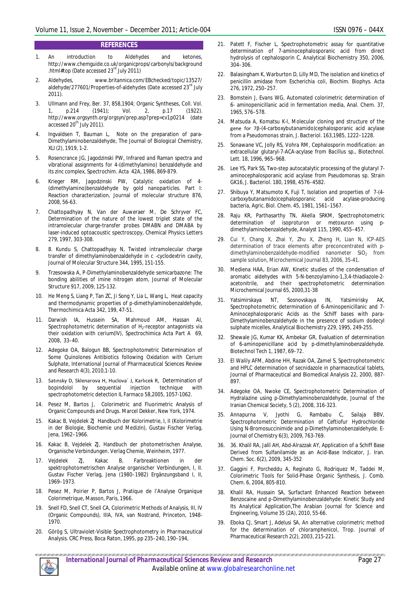#### **REFERENCES**

- 1. An introduction to Aldehydes and ketones, http://www.chemguide.co.uk/organicprops/carbonyls/background .html#top (Date accessed 23rd July 2011)
- 2. Aldehydes, www.britannica.com/EBchecked/topic/13527/ aldehyde/277601/Properties-of-aldehydes (Date accessed 23<sup>rd</sup> July 2011).
- 3. Ullmann and Frey, Ber. 37, 858,1904; Organic Syntheses, Coll. Vol. 1, p.214 (1941); Vol. 2, p.17 (1922)*.* http://www.orgsynth.org/orgsyn/prep.asp?prep=cv1p0214 (date accessed 20<sup>th</sup> July 2011).
- Ingvaldsen T, Bauman L, Note on the preparation of para-Dimethylaminobenzaldehyde, The Journal of Biological Chemistry, XLI (2), 1919, 1-2.
- 5. Rosencrance JG, Jagodzinski PW, Infrared and Raman spectra and vibrational assignments for 4-(dimethylamino) benzaldehyde and its zinc complex, Spectrochim. Acta 42A, 1986, 869-879.
- 6. Krieger RM, Jagodzinski PW, Catalytic oxidation of 4- (dimethylamino)benzaldehyde by gold nanoparticles. Part I: Reaction characterization, Journal of molecular structure 876, 2008, 56-63.
- 7. Chattopadhyay N, Van der Auweraer M, De Schryver FC, Determination of the nature of the lowest triplet state of the intramolecular charge-transfer probes DMABN and DMABA by laser-induced optoacoustic spectroscopy, Chemical Physics Letters 279, 1997, 303-308.
- 8. 8. Kundu S, Chattopadhyay N, Twisted intramolecular charge transfer of dimethylaminobenzaldehyde in c -cyclodextrin cavity, Journal of Molecular Structure 344, 1995, 151-155.
- 9. Trzesowska A, *P*-Dimethylaminobenzaldehyde semicarbazone: The bonding abilities of imine nitrogen atom, Journal of Molecular Structure 917, 2009, 125-132.
- 10. He Meng S, Liang P, Tan ZC, Ji Song Y, Lia L, Wang L, Heat capacity and thermodynamic properties of *p*-dimethylaminobenzaldehyde, Thermochimica Acta 342, 199, 47-51.
- 11. Darwish IA, Hussein SA, Mahmoud AM, Hassan AI, Spectrophotometric determination of H<sub>2</sub>-receptor antagonists via their oxidation with cerium(IV), Spectrochimica Acta Part A 69, 2008, 33–40.
- 12. Adegoke OA, Balogun BB, Spectrophotometric Determination of Some Quinolones Antibiotics following Oxidation with Cerium Sulphate, International Journal of Pharmaceutical Sciences Review and Research 4(3), 2010,1-10.
- 13. Satınsky D, Sklenarova H, Huclova´ J, Karlıcek R, Determination of bopindolol by sequential injection technique with spectrophotometric detection IL Farmaco 58,2005, 1057-1062.
- 14. Pesez M, Bartos J, Colorimetric and Fluorimetric Analysis of Organic Compounds and Drugs. Marcel Dekker, New York, 1974.
- 15. Kakac B, Vejdelek ZJ Handbuch der Kolorimetrie, I, II (Kolorimetrie in der Biologie, Biochemie und Medizin), Gustav Fischer Verlag, Jena, 1962–1966.
- 16. Kakac B, Vejdelek ZJ, Handbuch der photometrischen Analyse, Organische Verbindungen. Verlag Chemie, Weinheim, 1977.
- 17. Vejdelek ZJ, Kakac B, Farbreaktionen in der spektrophotometrischen Analyse organischer Verbindungen, I, II. Gustav Fischer Verlag, Jena (1980–1982) Ergänzungsband I, II, 1969–1973.
- 18. Pesez M, Poirier P, Bartos J, Pratique de l'Analyse Organique Colorimetrique, Masson, Paris, 1966.
- 19. Snell FD, Snell CT, Snell CA, Colorimetric Methods of Analysis, III, IV (Organic Compounds), IIIA, IVA, van Nostrand, Princeton, 1948- 1970.
- 20. Görög S, Ultraviolet-Visible Spectrophotometry in Pharmaceutical Analysis. CRC Press, Boca Raton, 1995, pp 235–240, 190–194,
- 21. Patett F, Fischer L, Spectrophotometric assay for quantitative determination of 7-aminocephalosporanic acid from direct hydrolysis of cephalosporin C, Analytical Biochemistry 350, 2006, 304–306.
- 22. Balasingham K, Warburton D, Lilly MD, The isolation and kinetics of penicillin amidase from *Escherichia coli*, Biochim. Biophys. Acta 276, 1972, 250–257.
- 23. Bomstein J, Evans WG, Automated colorimetric determination of 6- aminopenicillanic acid in fermentation media, Anal. Chem. 37, 1965, 576–578.
- 24. Matsuda A, Komatsu K-I, Molecular cloning and structure of the gene for 7β-(4-carboxybutanamido)cephalosporanic acid acylase from a *Pseudomonas* strain, J. Bacteriol. 163,1985, 1222–1228.
- 25. Sonawane VC, Jolly RS, Vohra RM, Cephalosporin modification: an extracellular glutaryl-7-ACA-acylase from *Bacillus* sp., Biotechnol. Lett. 18, 1996, 965–968.
- 26. Lee YS, Park SS, Two-step autocatalytic processing of the glutaryl 7 aminocephalosporanic acid acylase from *Pseudomonas* sp. Strain GK16, J. Bacteriol. 180, 1998, 4576–4582.
- 27. Shibuya Y, Matsumoto K, Fuji T, Isolation and properties of 7-(4 carboxybutanamido)cephalosporanic acid acylase-producing bacteria, Agric. Biol. Chem. 45, 1981, 1561–1567.
- 28. Raju KR, Parthasarthy TN, Akella SRKM, Spectrophotometric determination of isoproturon or metoxuron using *p*dimethylaminobenzaldehyde, Analyst 115, 1990, 455–457.
- 29. Cui Y, Chang X, Zhai Y, Zhu X, Zheng H, Lian N, ICP-AES determination of trace elements after preconcentrated with *p*dimethylaminobenzaldehyde-modified nanometer SiO<sub>2</sub> from sample solution, Microchemical Journal 83, 2006, 35-41.
- 30. Mediena HAA, Erian AW, Kinetic studies of the condensation of aromatic aldehydes with 5-N-benzoylamino-1,3,4-thiadiazole-2 acetonitrile, and their spectrophotometric determination Microchemical Journal 65, 2000,31-38
- 31. Yatsimirskaya NT, Sosnovskaya IN, Yatsimirisky AK, Spectrophotometric determination of 6-Aminopenicillanic and 7- Aminocephalosporanic Acids as the Schiff bases with *para*-Dimethylaminobenzaldehyde in the presence of sodium dodecyl sulphate micelles, Analytical Biochemistry 229, 1995, 249-255.
- 32. Shewale JG, Kumar KK, Ambekar GR, Evaluation of determination of 6-aminopenicillane acid by *p*-dimethylaminobenzaldehyde. Biotechnol Tech 1, 1987, 69–72.
- 33. El Walily AFM, Abdine HH, Razak OA, Zamel S, Spectrophotometric and HPLC determination of secnidazole in pharmaceutical tablets, Journal of Pharmaceutical and Biomedical Analysis 22, 2000, 887- 897.
- 34. Adegoke OA, Nwoke CE, Spectrophotometric Determination of Hydralazine using *p*-Dimethylaminobenzaldehyde, Journal of the Iranian Chemical Society, 5 (2), 2008, 316-323.
- 35. Annapurna V, Jyothi G, Rambabu C, Sailaja BBV, Spectrophotometric Determination of Ceftiofur Hydrochloride Using N-Bromosuccinimide and *p*-Dimethylaminobenzaldehyde. E-Journal of Chemistry 6(3), 2009, 763-769.
- 36. 36. Khalil RA, Jalil AH, Abd-Alrazzak AY, Application of a Schiff Base Derived from Sulfanilamide as an Acid-Base Indicator, J. Iran. Chem. Soc. 6(2), 2009, 345-352
- 37. Gaggini F, Porcheddu A, Reginato G, Rodriquez M, Taddei M, Colorimetric Tools for Solid-Phase Organic Synthesis, J. Comb. Chem. 6, 2004, 805-810.
- 38. Khalil RA, Hussain SA, Surfactant Enhanced Reaction between Benzocaine and *p*-Dimethylaminobenzaldehyde: Kinetic Study and Its Analytical Application,The Arabian Journal for Science and Engineering, Volume 35 (2A), 2010, 55-66.
- 39. Eboka CJ, Smart J, Adelusi SA, An alternative colorimetric method for the determination of chloramphenicol, Trop. Journal of Pharmaceutical Research 2(2), 2003, 215-221.

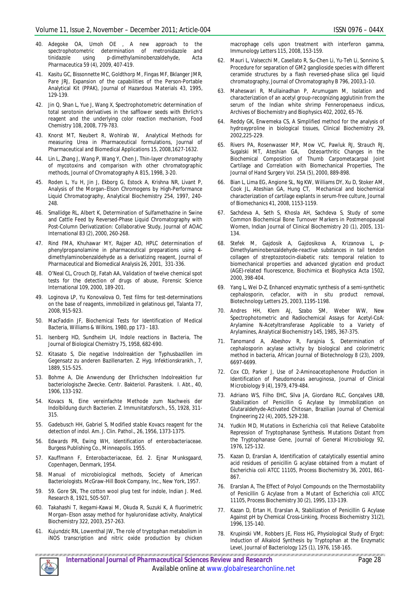- 40. Adegoke OA, Umoh OE , A new approach to the spectrophotometric determination of metronidazole and tinidazole using *p*-dimethylaminobenzaldehyde, Acta Pharmaceutica 59 (4), 2009, 407-419.
- 41. Kasitu GC, Bissonnette MC, Goldthorp M, Fingas MF, Bklanger JMR, Pare JRJ, Expansion of the capabilities of the Person-Portable Analytical Kit (PPAK), Journal of Hazardous Materials 43, 1995, 129-139.
- 42. Jin Q, Shan L, Yue J, Wang X, Spectrophotometric determination of total serotonin derivatives in the safflower seeds with Ehrlich's reagent and the underlying color reaction mechanism, Food Chemistry 108, 2008, 779-783.
- 43. Knorst MT, Neubert R, Wohlrab W, Analytical Methods for measuring Urea in Pharmaceutical formulations, Journal of Pharmaceutical and Biomedical Applications 15, 2008,1627-1632.
- 44. Lin L, Zhang J, Wang P, Wang Y, Chen J, Thin-layer chromatography of mycotoxins and comparison with other chromatographic methods, Journal of Chromatography A 815, 1998, 3-20.
- 45. Roden L, Yu H, Jin J, Ekborg G, Estock A, Krishna NR, Livant P, Analysis of the Morgan–Elson Chromogens by High-Performance Liquid Chromatography, Analytical Biochemistry 254, 1997, 240- 248.
- 46. Smallidge RL, Albert K, Determination of Sulfamethazine in Swine and Cattle Feed by Reversed-Phase Liquid Chromatography with Post-Column Derivatization: Collaborative Study, Journal of AOAC International 83 (2), 2000, 260-268.
- 47. Rind FMA, Khuhawar MY, Rajper AD, HPLC determination of phenylpropanolamine in pharmaceutical preparations using 4 dimethylaminobenzaldehyde as a derivatizing reagent, Journal of Pharmaceutical and Biomedical Analysis 26, 2001, 331-336.
- 48. O'Neal CL, Crouch DJ, Fatah AA, Validation of twelve chemical spot tests for the detection of drugs of abuse, Forensic Science International 109, 2000, 189-201.
- 49. Loginova LP, Yu Konovalova O, Test films for test-determinations on the base of reagents, immobilized in gelatinous gel, Talanta 77, 2008, 915-923.
- 50. MacFaddin JF, Biochemical Tests for Identification of Medical Bacteria, Williams & Wilkins, 1980, pp 173 - 183.
- 51. Isenberg HD, Sundheim LH, Indole reactions in Bacteria, The Journal of Biological Chemistry 75, 1958, 682-690.
- 52. Kitasato S, Die negative Indolreaktion der Typhusbazillen im Gegensatz zu anderen Bazillenarten. Z. Hyg. Infektionskrankh., 7, 1889, 515-525.
- 53. Bohme A, Die Anwendung der Ehrlichschen Indolreaktion fur bacteriologische Zwecke. Centr. Bakteriol. Parasitenk. I. Abt., 40, 1906, 133-192.
- 54. Kovacs N, Eine vereinfachte Methode zum Nachweis der Indolbildung durch Bacterien. Z. Immunitatsforsch., 55, 1928, 311- 315.
- 55. Gadebusch HH, Gabriel S, Modified stable Kovacs reagent for the detection of indol. Am. J. Clin. Pathol., 26, 1956, 1373-1375.
- 56. Edwards PR, Ewing WH, Identification of enterobacteriaceae. Burgess Publishing Co., Minneapolis. 1955.
- 57. Kauffmann F, Enterobacteriaceae, Ed. 2. Ejnar Munksgaard, Copenhagen, Denmark, 1954.
- 58. Manual of microbiological methods, Society of American Bacteriologists. McGraw-Hill Book Company, Inc., New York, 1957.
- 59. 59. Gore SN, The cotton wool plug test for indole, Indian J. Med. Research 8, 1921, 505-507.
- 60. Takahashi T, Ikegami-Kawai M, Okuda R, Suzuki K, A fluorimetric Morgan–Elson assay method for hyaluronidase activity, Analytical Biochemistry 322, 2003, 257-263.
- 61. Kujundzic RN, Lowenthal JW, The role of tryptophan metabolism in iNOS transcription and nitric oxide production by chicken

macrophage cells upon treatment with interferon gamma, Immunology Letters 115, 2008, 153-159.

- 62. Mauri L, Valsecchi M, Casellato R, Su-Chen Li, Yu-Teh Li, Sonnino S, Procedure for separation of GM2 ganglioside species with different ceramide structures by a flash reversed-phase silica gel liquid chromatography, Journal of Chromatography B 796, 2003,1-10.
- 63. Maheswari R, Mullainadhan P, Arumugam M, Isolation and characterization of an acetyl group-recognizing agglutinin from the serum of the Indian white shrimp *Fenneropenaeus indicus*, Archives of Biochemistry and Biophysics 402, 2002, 65-76.
- 64. Reddy GK, Enwemeka CS, A Simplified method for the analysis of hydroxyproline in biological tissues, Clinical Biochemistry 29, 2002,225-229.
- 65. Rivers PA, Rosenwasser MP, Mow VC, Pawluk RJ, Strauch RJ, Sugalski MT, Ateshian GA, Osteoarthritic Changes in the Biochemical Composition of Thumb Carpometacarpal Joint Cartilage and Correlation with Biomechanical Properties, The Journal of Hand Surgery Vol. 25A (5), 2000, 889-898.
- 66. Bian L, Lima EG, Angione SL, Ng KW, Williams DY, Xu D, Stoker AM, Cook JL, Ateshian GA, Hung CT, Mechanical and biochemical characterization of cartilage explants in serum-free culture, Journal of Biomechanics 41, 2008, 1153-1159.
- 67. Sachdeva A, Seth S, Khosla AH, Sachdeva S, Study of some Common Biochemical Bone Turnover Markers in Postmenopausal Women, Indian Journal of Clinical Biochemistry 20 (1), 2005, 131- 134.
- 68. Stefek M, Gajdosik A, Gajdosikova A, Krizanova L, *p*-Dimethylaminobenzaldehyde-reactive substances in tail tendon collagen of streptozotocin-diabetic rats: temporal relation to biomechanical properties and advanced glycation end product (AGE)-related fluorescence, Biochimica et Biophysica Acta 1502, 2000, 398-404.
- 69. Yang L, Wei D-Z, Enhanced enzymatic synthesis of a semi-synthetic cephalosporin, cefaclor, with *in situ* product removal, Biotechnology Letters 25, 2003, 1195-1198.
- Andres HH, Klem AJ, Szabo SM, Weber WW, New Spectrophotometric and Radiochemical Assays for Acetyl-CoA: Arylamine N-Acetyltransferase Applicable to a Variety of Arylamines, Analytical Biochemistry 145, 1985, 367-375.
- 71. Tanomand A, Abeshov R, Farajnia S, Determination of cephalosporin acylase activity by biological and colorimetric method in bacteria, African Journal of Biotechnology 8 (23), 2009, 6697-6699.
- 72. Cox CD, Parker J, Use of 2-Aminoacetophenone Production in Identification of *Pseudomonas aeruginosa*, Journal of Clinical Microbiology 9 (4), 1979, 479-484.
- 73. Adriano WS, Filho EHC, Silva JA, Giordano RLC, Gonçalves LRB, Stabilization of Penicillin G Acylase by Immobilization on Glutaraldehyde-Activated Chitosan, Brazilian Journal of Chemical Engineering 22 (4), 2005, 529-238.
- 74. Yudkin MD, Mutations in *Escherichia coli* that Relieve Catabolite Repression of Tryptophanase Synthesis. Mutations Distant from the Tryptophanase Gene, Journal of General Microbiology 92, 1976, 125-132.
- 75. Kazan D, Erarslan A, Identification of catalytically essential amino acid residues of penicillin G acylase obtained from a mutant of *Escherichia coli* ATCC 11105, Process Biochemistry 36, 2001, 861- 867.
- 76. Erarslan A, The Effect of Polyol Compounds on the Thermostability of Penicillin G Acylase from a Mutant of Escherichia coli ATCC 11105, Process Biochemistry 30 (2), 1995, 133-139.
- 77. Kazan D, Ertan H, Erarslan A, Stabilization of Penicillin G Acylase Against pH by Chemical Cross-Linking, Process Biochemistry 31(2), 1996, 135-140.
- 78. Krupinski VM, Robbers JE, Floss HG, Physiological Study of Ergot: Induction of Alkaloid Synthesis by Tryptophan at the Enzymatic Level, Journal of Bacteriology 125 (1), 1976, 158-165.